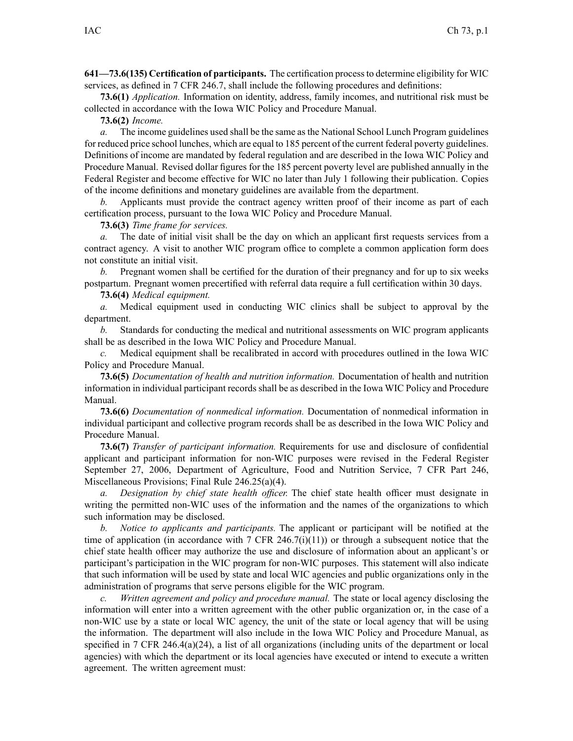**641—73.6(135) Certification of participants.** The certification processto determine eligibility for WIC services, as defined in 7 CFR 246.7, shall include the following procedures and definitions:

**73.6(1)** *Application.* Information on identity, address, family incomes, and nutritional risk must be collected in accordance with the Iowa WIC Policy and Procedure Manual.

**73.6(2)** *Income.*

*a.* The income guidelines used shall be the same asthe National School Lunch Program guidelines for reduced price school lunches, which are equal to 185 percen<sup>t</sup> of the current federal poverty guidelines. Definitions of income are mandated by federal regulation and are described in the Iowa WIC Policy and Procedure Manual. Revised dollar figures for the 185 percen<sup>t</sup> poverty level are published annually in the Federal Register and become effective for WIC no later than July 1 following their publication. Copies of the income definitions and monetary guidelines are available from the department.

*b.* Applicants must provide the contract agency written proof of their income as part of each certification process, pursuan<sup>t</sup> to the Iowa WIC Policy and Procedure Manual.

**73.6(3)** *Time frame for services.*

*a.* The date of initial visit shall be the day on which an applicant first requests services from <sup>a</sup> contract agency. A visit to another WIC program office to complete <sup>a</sup> common application form does not constitute an initial visit.

*b.* Pregnant women shall be certified for the duration of their pregnancy and for up to six weeks postpartum. Pregnant women precertified with referral data require <sup>a</sup> full certification within 30 days.

**73.6(4)** *Medical equipment.*

*a.* Medical equipment used in conducting WIC clinics shall be subject to approval by the department.

*b.* Standards for conducting the medical and nutritional assessments on WIC program applicants shall be as described in the Iowa WIC Policy and Procedure Manual.

*c.* Medical equipment shall be recalibrated in accord with procedures outlined in the Iowa WIC Policy and Procedure Manual.

**73.6(5)** *Documentation of health and nutrition information.* Documentation of health and nutrition information in individual participant records shall be as described in the Iowa WIC Policy and Procedure Manual.

**73.6(6)** *Documentation of nonmedical information.* Documentation of nonmedical information in individual participant and collective program records shall be as described in the Iowa WIC Policy and Procedure Manual.

**73.6(7)** *Transfer of participant information.* Requirements for use and disclosure of confidential applicant and participant information for non-WIC purposes were revised in the Federal Register September 27, 2006, Department of Agriculture, Food and Nutrition Service, 7 CFR Part 246, Miscellaneous Provisions; Final Rule 246.25(a)(4).

*a. Designation by chief state health officer.* The chief state health officer must designate in writing the permitted non-WIC uses of the information and the names of the organizations to which such information may be disclosed.

*b. Notice to applicants and participants.* The applicant or participant will be notified at the time of application (in accordance with 7 CFR 246.7(i)(11)) or through <sup>a</sup> subsequent notice that the chief state health officer may authorize the use and disclosure of information about an applicant's or participant's participation in the WIC program for non-WIC purposes. This statement will also indicate that such information will be used by state and local WIC agencies and public organizations only in the administration of programs that serve persons eligible for the WIC program.

*c. Written agreemen<sup>t</sup> and policy and procedure manual.* The state or local agency disclosing the information will enter into <sup>a</sup> written agreemen<sup>t</sup> with the other public organization or, in the case of <sup>a</sup> non-WIC use by <sup>a</sup> state or local WIC agency, the unit of the state or local agency that will be using the information. The department will also include in the Iowa WIC Policy and Procedure Manual, as specified in 7 CFR 246.4(a)(24), <sup>a</sup> list of all organizations (including units of the department or local agencies) with which the department or its local agencies have executed or intend to execute <sup>a</sup> written agreement. The written agreemen<sup>t</sup> must: